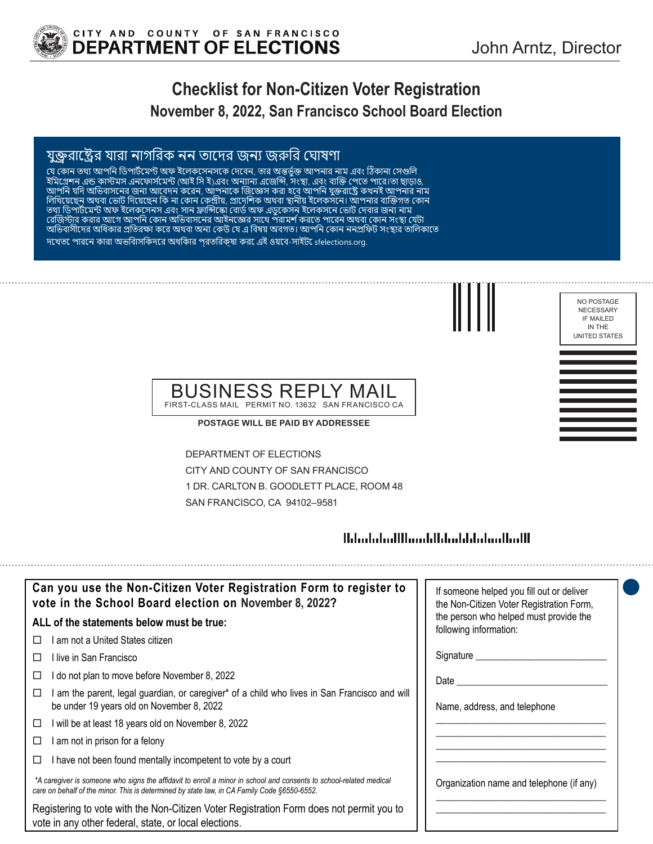

NO POSTAGE NECESSARY IF MAILED IN THE UNITED STATES

# **Checklist for Non-Citizen Voter Registration November 8, 2022, San Francisco School Board Election**

#### যুক্তরাষ্ট্রের যারা নাগরিক নন তাদের জন্য জরুরি ঘোষণা

যে কোন তথ্য আপান ডিপার্টমেণ্ট অফ ইলেকসেনসকে দেবেন, তার অন্তর্ভুক্ত আপনার নাম এবং ঠিকানা সেগুলি ইমিগ্রেশন এন্ড কাস্টমস এনফোর্সমেন্ট (আই সি ই)এবং অন্যান্য এজেন্সি, সংস্থা, এবং ব্যক্তি পেতে পারে।তা ছাড়াও, আপনি যদি অভিবাসনের জন্য আবেদন করেন, আপনাকে জিজ্ঞেস করা হবে আপনি যুক্তরাষ্ট্রে কখনই আপনার নাম লিখিয়েছেন অথবা ভোট দিয়েছেন কি না কোন কেন্দ্রীয়, প্রাদেশিক অথবা স্থানীয় ইলেকসনে। আপনার ব্যক্তিগত কোন তথ্য ডিপার্টমেন্ট অফ ইলেকসেনস এবং সান ফ্রান্সিস্কো বোর্ড অফ এডুকেস ন ইলেকসনে ভোট দেবার জন্য নাম রেজিস্টার করার আগে আপনি কোন অভিবাসনের আইনজ্ঞের সাথে পরামর্শ করতে পারেন অথবা কোন সংস্থা যেটা অভিবাসীদের অধিকার প্রতিরক্ষা করে অথবা অন্য কেউ যে এ বিষয় অবগত। আপনি কোন ননপ্রফিট সংস্থার তালিকাতে দেখতে পারেন কারা অভিবাসিকদের অধিকার প্রতিরক্ষা করে এই ওয়েব-সাইটে sfelections.org.

BUSINESS REPLY MAIL

FIRST-CLASS MAIL PERMIT NO. 13632 SAN FRANCISCO CA

**POSTAGE WILL BE PAID BY ADDRESSEE**

DEPARTMENT OF ELECTIONS CITY AND COUNTY OF SAN FRANCISCO 1 DR. CARLTON B. GOODLETT PLACE, ROOM 48 SAN FRANCISCO, CA 94102–9581

#### 

| Can you use the Non-Citizen Voter Registration Form to register to<br>vote in the School Board election on November 8, 2022?                                                                                      | If someone helped you fill out or deliver<br>the Non-Citizen Voter Registration Form, |
|-------------------------------------------------------------------------------------------------------------------------------------------------------------------------------------------------------------------|---------------------------------------------------------------------------------------|
| ALL of the statements below must be true:                                                                                                                                                                         | the person who helped must provide the<br>following information:                      |
| I am not a United States citizen.<br>П                                                                                                                                                                            |                                                                                       |
| l live in San Francisco                                                                                                                                                                                           | Signature                                                                             |
| I do not plan to move before November 8, 2022                                                                                                                                                                     | Date                                                                                  |
| am the parent, legal guardian, or caregiver* of a child who lives in San Francisco and will<br>be under 19 years old on November 8, 2022                                                                          | Name, address, and telephone                                                          |
| I will be at least 18 years old on November 8, 2022<br>□                                                                                                                                                          |                                                                                       |
| I am not in prison for a felony                                                                                                                                                                                   |                                                                                       |
| I have not been found mentally incompetent to vote by a court                                                                                                                                                     |                                                                                       |
| *A caregiver is someone who signs the affidavit to enroll a minor in school and consents to school-related medical<br>care on behalf of the minor. This is determined by state law, in CA Family Code §6550-6552. | Organization name and telephone (if any)                                              |
| Registering to vote with the Non-Citizen Voter Registration Form does not permit you to<br>vote in any other federal, state, or local elections.                                                                  |                                                                                       |